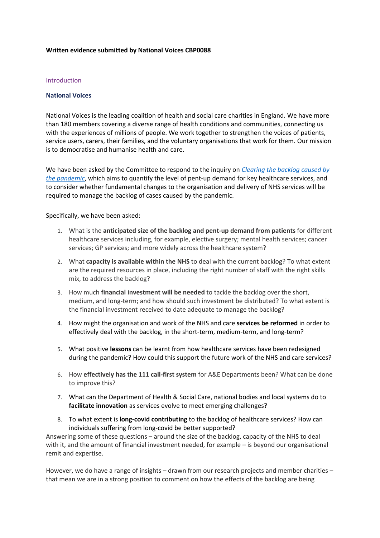#### **Written evidence submitted by National Voices CBP0088**

#### Introduction

### **National Voices**

National Voices is the leading coalition of health and social care charities in England. We have more than 180 members covering a diverse range of health conditions and communities, connecting us with the experiences of millions of people. We work together to strengthen the voices of patients, service users, carers, their families, and the voluntary organisations that work for them. Our mission is to democratise and humanise health and care.

We have been asked by the Committee to respond to the inquiry on *[Clearing](https://committees.parliament.uk/work/1414/clearing-the-backlog-caused-by-the-pandemic/) [the](https://committees.parliament.uk/work/1414/clearing-the-backlog-caused-by-the-pandemic/) [backlog](https://committees.parliament.uk/work/1414/clearing-the-backlog-caused-by-the-pandemic/) [caused](https://committees.parliament.uk/work/1414/clearing-the-backlog-caused-by-the-pandemic/) [by](https://committees.parliament.uk/work/1414/clearing-the-backlog-caused-by-the-pandemic/) [the](https://committees.parliament.uk/work/1414/clearing-the-backlog-caused-by-the-pandemic/) [pandemic](https://committees.parliament.uk/work/1414/clearing-the-backlog-caused-by-the-pandemic/)*, which aims to quantify the level of pent-up demand for key healthcare services, and to consider whether fundamental changes to the organisation and delivery of NHS services will be required to manage the backlog of cases caused by the pandemic.

Specifically, we have been asked:

- 1. What is the **anticipated size of the backlog and pent-up demand from patients** for different healthcare services including, for example, elective surgery; mental health services; cancer services; GP services; and more widely across the healthcare system?
- 2. What **capacity is available within the NHS** to deal with the current backlog? To what extent are the required resources in place, including the right number of staff with the right skills mix, to address the backlog?
- 3. How much **financial investment will be needed** to tackle the backlog over the short, medium, and long-term; and how should such investment be distributed? To what extent is the financial investment received to date adequate to manage the backlog?
- 4. How might the organisation and work of the NHS and care **services be reformed** in order to effectively deal with the backlog, in the short-term, medium-term, and long-term?
- 5. What positive **lessons** can be learnt from how healthcare services have been redesigned during the pandemic? How could this support the future work of the NHS and care services?
- 6. How **effectively has the 111 call-first system** for A&E Departments been? What can be done to improve this?
- 7. What can the Department of Health & Social Care, national bodies and local systems do to **facilitate innovation** as services evolve to meet emerging challenges?
- 8. To what extent is **long-covid contributing** to the backlog of healthcare services? How can individuals suffering from long-covid be better supported?

Answering some of these questions – around the size of the backlog, capacity of the NHS to deal with it, and the amount of financial investment needed, for example – is beyond our organisational remit and expertise.

However, we do have a range of insights – drawn from our research projects and member charities – that mean we are in a strong position to comment on how the effects of the backlog are being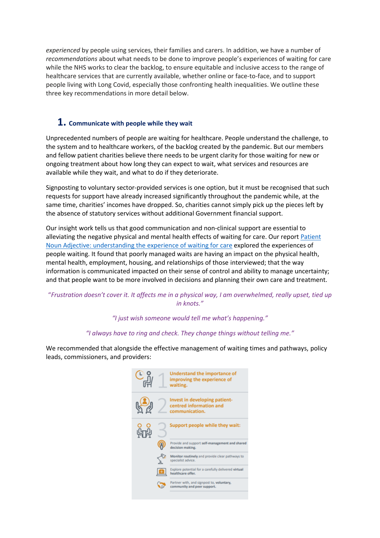*experienced* by people using services, their families and carers. In addition, we have a number of *recommendations* about what needs to be done to improve people's experiences of waiting for care while the NHS works to clear the backlog, to ensure equitable and inclusive access to the range of healthcare services that are currently available, whether online or face-to-face, and to support people living with Long Covid, especially those confronting health inequalities. We outline these three key recommendations in more detail below.

## **1. Communicate with people while they wait**

Unprecedented numbers of people are waiting for healthcare. People understand the challenge, to the system and to healthcare workers, of the backlog created by the pandemic. But our members and fellow patient charities believe there needs to be urgent clarity for those waiting for new or ongoing treatment about how long they can expect to wait, what services and resources are available while they wait, and what to do if they deteriorate.

Signposting to voluntary sector-provided services is one option, but it must be recognised that such requests for support have already increased significantly throughout the pandemic while, at the same time, charities' incomes have dropped. So, charities cannot simply pick up the pieces left by the absence of statutory services without additional Government financial support.

Our insight work tells us that good communication and non-clinical support are essential to alleviating the negative physical and mental health effects of waiting for care. Our report [Patient](https://www.nationalvoices.org.uk/publications/our-publications/patient-noun-adjective-understanding-experience-waiting-care) [Noun](https://www.nationalvoices.org.uk/publications/our-publications/patient-noun-adjective-understanding-experience-waiting-care) [Adjective:](https://www.nationalvoices.org.uk/publications/our-publications/patient-noun-adjective-understanding-experience-waiting-care) [understanding](https://www.nationalvoices.org.uk/publications/our-publications/patient-noun-adjective-understanding-experience-waiting-care) [the](https://www.nationalvoices.org.uk/publications/our-publications/patient-noun-adjective-understanding-experience-waiting-care) [experience](https://www.nationalvoices.org.uk/publications/our-publications/patient-noun-adjective-understanding-experience-waiting-care) [of](https://www.nationalvoices.org.uk/publications/our-publications/patient-noun-adjective-understanding-experience-waiting-care) [waiting](https://www.nationalvoices.org.uk/publications/our-publications/patient-noun-adjective-understanding-experience-waiting-care) [for](https://www.nationalvoices.org.uk/publications/our-publications/patient-noun-adjective-understanding-experience-waiting-care) [care](https://www.nationalvoices.org.uk/publications/our-publications/patient-noun-adjective-understanding-experience-waiting-care) explored the experiences of people waiting. It found that poorly managed waits are having an impact on the physical health, mental health, employment, housing, and relationships of those interviewed; that the way information is communicated impacted on their sense of control and ability to manage uncertainty; and that people want to be more involved in decisions and planning their own care and treatment.

## "Frustration doesn't cover it. It affects me in a physical way, I am overwhelmed, really upset, tied up *in knots."*

## *"I just wish someone would tell me what's happening."*

### *"I always have to ring and check. They change things without telling me."*

We recommended that alongside the effective management of waiting times and pathways, policy leads, commissioners, and providers:

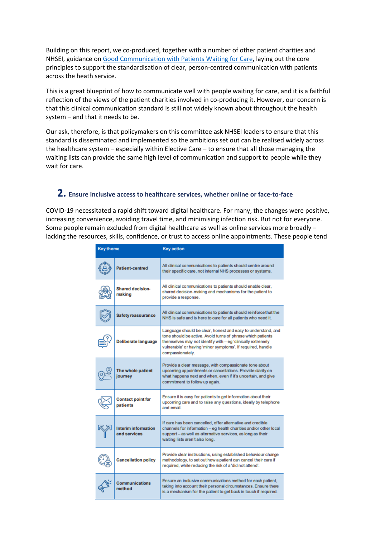Building on this report, we co-produced, together with a number of other patient charities and NHSEI, guidance on [Good](https://www.england.nhs.uk/coronavirus/wp-content/uploads/sites/52/2021/01/C0855-i-good-communication-with-patients-guidance-v2.pdf) [Communication](https://www.england.nhs.uk/coronavirus/wp-content/uploads/sites/52/2021/01/C0855-i-good-communication-with-patients-guidance-v2.pdf) [with](https://www.england.nhs.uk/coronavirus/wp-content/uploads/sites/52/2021/01/C0855-i-good-communication-with-patients-guidance-v2.pdf) [Patients](https://www.england.nhs.uk/coronavirus/wp-content/uploads/sites/52/2021/01/C0855-i-good-communication-with-patients-guidance-v2.pdf) [Waiting](https://www.england.nhs.uk/coronavirus/wp-content/uploads/sites/52/2021/01/C0855-i-good-communication-with-patients-guidance-v2.pdf) [for](https://www.england.nhs.uk/coronavirus/wp-content/uploads/sites/52/2021/01/C0855-i-good-communication-with-patients-guidance-v2.pdf) [Care](https://www.england.nhs.uk/coronavirus/wp-content/uploads/sites/52/2021/01/C0855-i-good-communication-with-patients-guidance-v2.pdf), laying out the core principles to support the standardisation of clear, person-centred communication with patients across the heath service.

This is a great blueprint of how to communicate well with people waiting for care, and it is a faithful reflection of the views of the patient charities involved in co-producing it. However, our concern is that this clinical communication standard is still not widely known about throughout the health system – and that it needs to be.

Our ask, therefore, is that policymakers on this committee ask NHSEI leaders to ensure that this standard is disseminated and implemented so the ambitions set out can be realised widely across the healthcare system – especially within Elective Care – to ensure that all those managing the waiting lists can provide the same high level of communication and support to people while they wait for care.

# **2. Ensure inclusive access to healthcare services, whether online or face-to-face**

COVID-19 necessitated a rapid shift toward digital healthcare. For many, the changes were positive, increasing convenience, avoiding travel time, and minimising infection risk. But not for everyone. Some people remain excluded from digital healthcare as well as online services more broadly – lacking the resources, skills, confidence, or trust to access online appointments. These people tend

| <b>Key theme</b> |                                      | <b>Key action</b>                                                                                                                                                                                                                                                             |
|------------------|--------------------------------------|-------------------------------------------------------------------------------------------------------------------------------------------------------------------------------------------------------------------------------------------------------------------------------|
|                  | <b>Patient-centred</b>               | All clinical communications to patients should centre around<br>their specific care, not internal NHS processes or systems.                                                                                                                                                   |
|                  | <b>Shared decision-</b><br>making    | All clinical communications to patients should enable clear,<br>shared decision-making and mechanisms for the patient to<br>provide a response.                                                                                                                               |
|                  | <b>Safety reassurance</b>            | All clinical communications to patients should reinforce that the<br>NHS is safe and is here to care for all patients who need it.                                                                                                                                            |
|                  | Deliberate language                  | Language should be clear, honest and easy to understand, and<br>tone should be active. Avoid turns of phrase which patients<br>themselves may not identify with - eg 'clinically extremely<br>vulnerable' or having 'minor symptoms'. If required, handle<br>compassionately. |
|                  | The whole patient<br>joumey          | Provide a clear message, with compassionate tone about<br>upcoming appointments or cancellations. Provide clarity on<br>what happens next and when, even if it's uncertain, and give<br>commitment to follow up again.                                                        |
|                  | <b>Contact point for</b><br>patients | Ensure it is easy for patients to get information about their<br>upcoming care and to raise any questions, ideally by telephone<br>and email                                                                                                                                  |
|                  | Interim information<br>and services  | If care has been cancelled, offer alternative and credible<br>channels for information - eg health charities and/or other local<br>support - as well as alternative services, as long as their<br>waiting lists aren't also long.                                             |
|                  | <b>Cancellation policy</b>           | Provide clear instructions, using established behaviour change<br>methodology, to set out how a patient can cancel their care if<br>required, while reducing the risk of a 'did not attend'.                                                                                  |
|                  | <b>Communications</b><br>method      | Ensure an inclusive communications method for each patient,<br>taking into account their personal circumstances. Ensure there<br>is a mechanism for the patient to get back in touch if required.                                                                             |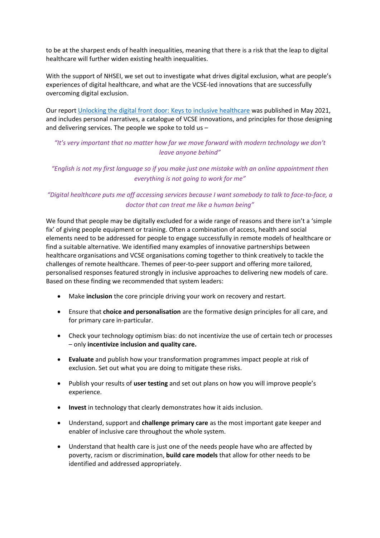to be at the sharpest ends of health inequalities, meaning that there is a risk that the leap to digital healthcare will further widen existing health inequalities.

With the support of NHSEI, we set out to investigate what drives digital exclusion, what are people's experiences of digital healthcare, and what are the VCSE-led innovations that are successfully overcoming digital exclusion.

Our report [Unlocking](https://www.nationalvoices.org.uk/sites/default/files/public/publications/unlocking_the_digital_front_door_-_keys_to_inclusive_healthcare_report.pdf) [the](https://www.nationalvoices.org.uk/sites/default/files/public/publications/unlocking_the_digital_front_door_-_keys_to_inclusive_healthcare_report.pdf) [digital](https://www.nationalvoices.org.uk/sites/default/files/public/publications/unlocking_the_digital_front_door_-_keys_to_inclusive_healthcare_report.pdf) [front](https://www.nationalvoices.org.uk/sites/default/files/public/publications/unlocking_the_digital_front_door_-_keys_to_inclusive_healthcare_report.pdf) [door:](https://www.nationalvoices.org.uk/sites/default/files/public/publications/unlocking_the_digital_front_door_-_keys_to_inclusive_healthcare_report.pdf) [Keys](https://www.nationalvoices.org.uk/sites/default/files/public/publications/unlocking_the_digital_front_door_-_keys_to_inclusive_healthcare_report.pdf) [to](https://www.nationalvoices.org.uk/sites/default/files/public/publications/unlocking_the_digital_front_door_-_keys_to_inclusive_healthcare_report.pdf) [inclusive](https://www.nationalvoices.org.uk/sites/default/files/public/publications/unlocking_the_digital_front_door_-_keys_to_inclusive_healthcare_report.pdf) [healthcare](https://www.nationalvoices.org.uk/sites/default/files/public/publications/unlocking_the_digital_front_door_-_keys_to_inclusive_healthcare_report.pdf) was published in May 2021, and includes personal narratives, a catalogue of VCSE innovations, and principles for those designing and delivering services. The people we spoke to told us –

*"It's very important that no matter how far we move forward with modern technology we don't leave anyone behind"*

*"English is not my first language so if you make just one mistake with an online appointment then everything is not going to work for me"*

*"Digital healthcare puts me off accessing services because I want somebody to talk to face-to-face, a doctor that can treat me like a human being"*

We found that people may be digitally excluded for a wide range of reasons and there isn't a 'simple fix' of giving people equipment or training. Often a combination of access, health and social elements need to be addressed for people to engage successfully in remote models of healthcare or find a suitable alternative. We identified many examples of innovative partnerships between healthcare organisations and VCSE organisations coming together to think creatively to tackle the challenges of remote healthcare. Themes of peer-to-peer support and offering more tailored, personalised responses featured strongly in inclusive approaches to delivering new models of care. Based on these finding we recommended that system leaders:

- Make **inclusion** the core principle driving your work on recovery and restart.
- Ensure that **choice and personalisation** are the formative design principles for all care, and for primary care in-particular.
- Check your technology optimism bias: do not incentivize the use of certain tech or processes – only **incentivize inclusion and quality care.**
- **Evaluate** and publish how your transformation programmes impact people at risk of exclusion. Set out what you are doing to mitigate these risks.
- Publish your results of **user testing** and set out plans on how you will improve people's experience.
- **Invest** in technology that clearly demonstrates how it aids inclusion.
- Understand, support and **challenge primary care** as the most important gate keeper and enabler of inclusive care throughout the whole system.
- Understand that health care is just one of the needs people have who are affected by poverty, racism or discrimination, **build care models** that allow for other needs to be identified and addressed appropriately.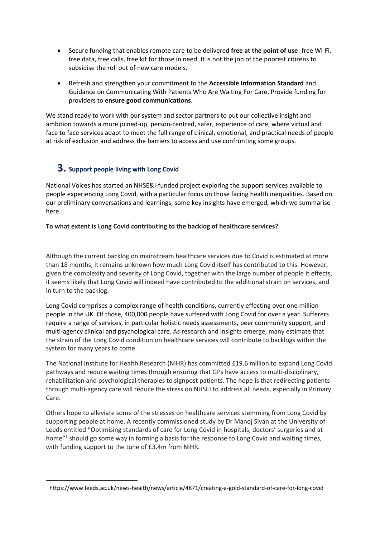- Secure funding that enables remote care to be delivered **free at the point of use**: free Wi-Fi, free data, free calls, free kit for those in need. It is not the job of the poorest citizens to subsidise the roll out of new care models.
- Refresh and strengthen your commitment to the **Accessible Information Standard** and Guidance on Communicating With Patients Who Are Waiting For Care. Provide funding for providers to **ensure good communications**.

We stand ready to work with our system and sector partners to put our collective insight and ambition towards a more joined-up, person-centred, safer, experience of care, where virtual and face to face services adapt to meet the full range of clinical, emotional, and practical needs of people at risk of exclusion and address the barriers to access and use confronting some groups.

# **3. Support people living with Long Covid**

National Voices has started an NHSE&I-funded project exploring the support services available to people experiencing Long Covid, with a particular focus on those facing health inequalities. Based on our preliminary conversations and learnings, some key insights have emerged, which we summarise here.

## **To what extent is Long Covid contributing to the backlog of healthcare services?**

Although the current backlog on mainstream healthcare services due to Covid is estimated at more than 18 months, it remains unknown how much Long Covid itself has contributed to this. However, given the complexity and severity of Long Covid, together with the large number of people it effects, it seems likely that Long Covid will indeed have contributed to the additional strain on services, and in turn to the backlog.

Long Covid comprises a complex range of health conditions, currently effecting over one million people in the UK. Of those, 400,000 people have suffered with Long Covid for over a year. Sufferers require a range of services, in particular holistic needs assessments, peer community support, and multi-agency clinical and psychological care. As research and insights emerge, many estimate that the strain of the Long Covid condition on healthcare services will contribute to backlogs within the system for many years to come.

The National Institute for Health Research (NIHR) has committed £19.6 million to expand Long Covid pathways and reduce waiting times through ensuring that GPs have access to multi-disciplinary, rehabilitation and psychological therapies to signpost patients. The hope is that redirecting patients through multi-agency care will reduce the stress on NHSEI to address all needs, especially in Primary Care.

Others hope to alleviate some of the stresses on healthcare services stemming from Long Covid by supporting people at home. A recently commissioned study by Dr Manoj Sivan at the University of Leeds entitled "Optimising standards of care for Long Covid in hospitals, doctors' surgeries and at home"<sup>1</sup> should go some way in forming a basis for the response to Long Covid and waiting times, with funding support to the tune of £3.4m from NIHR.

<sup>1</sup> https://www.leeds.ac.uk/news-health/news/article/4871/creating-a-gold-standard-of-care-for-long-covid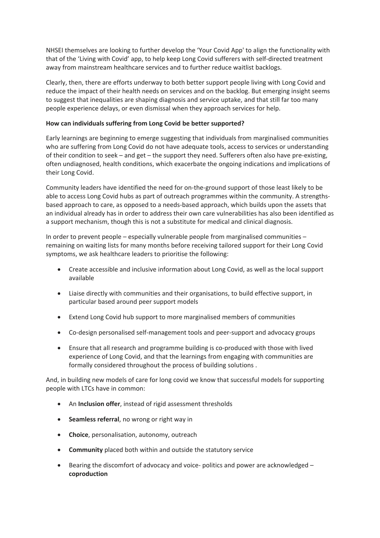NHSEI themselves are looking to further develop the 'Your Covid App' to align the functionality with that of the 'Living with Covid' app, to help keep Long Covid sufferers with self-directed treatment away from mainstream healthcare services and to further reduce waitlist backlogs.

Clearly, then, there are efforts underway to both better support people living with Long Covid and reduce the impact of their health needs on services and on the backlog. But emerging insight seems to suggest that inequalities are shaping diagnosis and service uptake, and that still far too many people experience delays, or even dismissal when they approach services for help.

### **How can individuals suffering from Long Covid be better supported?**

Early learnings are beginning to emerge suggesting that individuals from marginalised communities who are suffering from Long Covid do not have adequate tools, access to services or understanding of their condition to seek – and get – the support they need. Sufferers often also have pre-existing, often undiagnosed, health conditions, which exacerbate the ongoing indications and implications of their Long Covid.

Community leaders have identified the need for on-the-ground support of those least likely to be able to access Long Covid hubs as part of outreach programmes within the community. A strengthsbased approach to care, as opposed to a needs-based approach, which builds upon the assets that an individual already has in order to address their own care vulnerabilities has also been identified as a support mechanism, though this is not a substitute for medical and clinical diagnosis.

In order to prevent people – especially vulnerable people from marginalised communities – remaining on waiting lists for many months before receiving tailored support for their Long Covid symptoms, we ask healthcare leaders to prioritise the following:

- Create accessible and inclusive information about Long Covid, as well as the local support available
- Liaise directly with communities and their organisations, to build effective support, in particular based around peer support models
- Extend Long Covid hub support to more marginalised members of communities
- Co-design personalised self-management tools and peer-support and advocacy groups
- Ensure that all research and programme building is co-produced with those with lived experience of Long Covid, and that the learnings from engaging with communities are formally considered throughout the process of building solutions .

And, in building new models of care for long covid we know that successful models for supporting people with LTCs have in common:

- An **Inclusion offer**, instead of rigid assessment thresholds
- **Seamless referral**, no wrong or right way in
- **Choice**, personalisation, autonomy, outreach
- **Community** placed both within and outside the statutory service
- Bearing the discomfort of advocacy and voice- politics and power are acknowledged **coproduction**